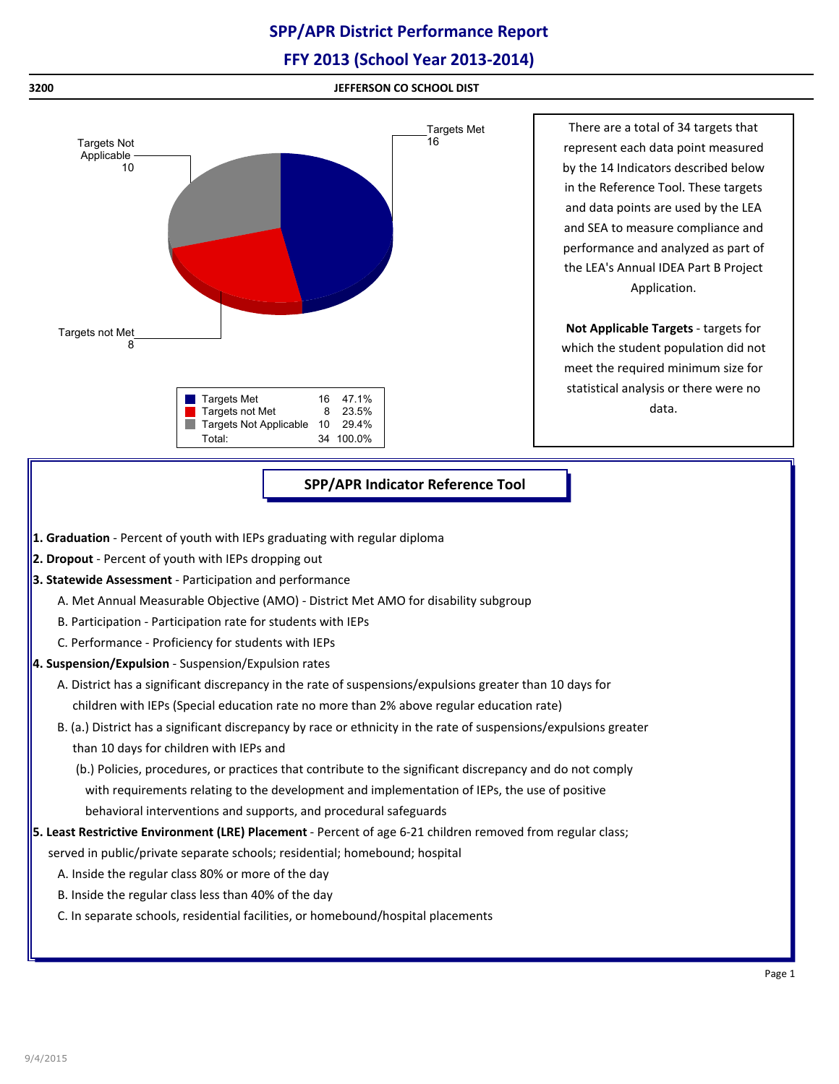# **SPP/APR District Performance Report**

## **FFY 2013 (School Year 2013-2014)**



## **SPP/APR Indicator Reference Tool**

- **1. Graduation** Percent of youth with IEPs graduating with regular diploma
- **2. Dropout** Percent of youth with IEPs dropping out
- **3. Statewide Assessment** Participation and performance
	- A. Met Annual Measurable Objective (AMO) District Met AMO for disability subgroup
	- B. Participation Participation rate for students with IEPs
	- C. Performance Proficiency for students with IEPs
- **4. Suspension/Expulsion** Suspension/Expulsion rates
	- A. District has a significant discrepancy in the rate of suspensions/expulsions greater than 10 days for children with IEPs (Special education rate no more than 2% above regular education rate)
	- B. (a.) District has a significant discrepancy by race or ethnicity in the rate of suspensions/expulsions greater than 10 days for children with IEPs and
		- (b.) Policies, procedures, or practices that contribute to the significant discrepancy and do not comply with requirements relating to the development and implementation of IEPs, the use of positive behavioral interventions and supports, and procedural safeguards
- **5. Least Restrictive Environment (LRE) Placement** Percent of age 6-21 children removed from regular class;
	- served in public/private separate schools; residential; homebound; hospital
		- A. Inside the regular class 80% or more of the day
		- B. Inside the regular class less than 40% of the day
		- C. In separate schools, residential facilities, or homebound/hospital placements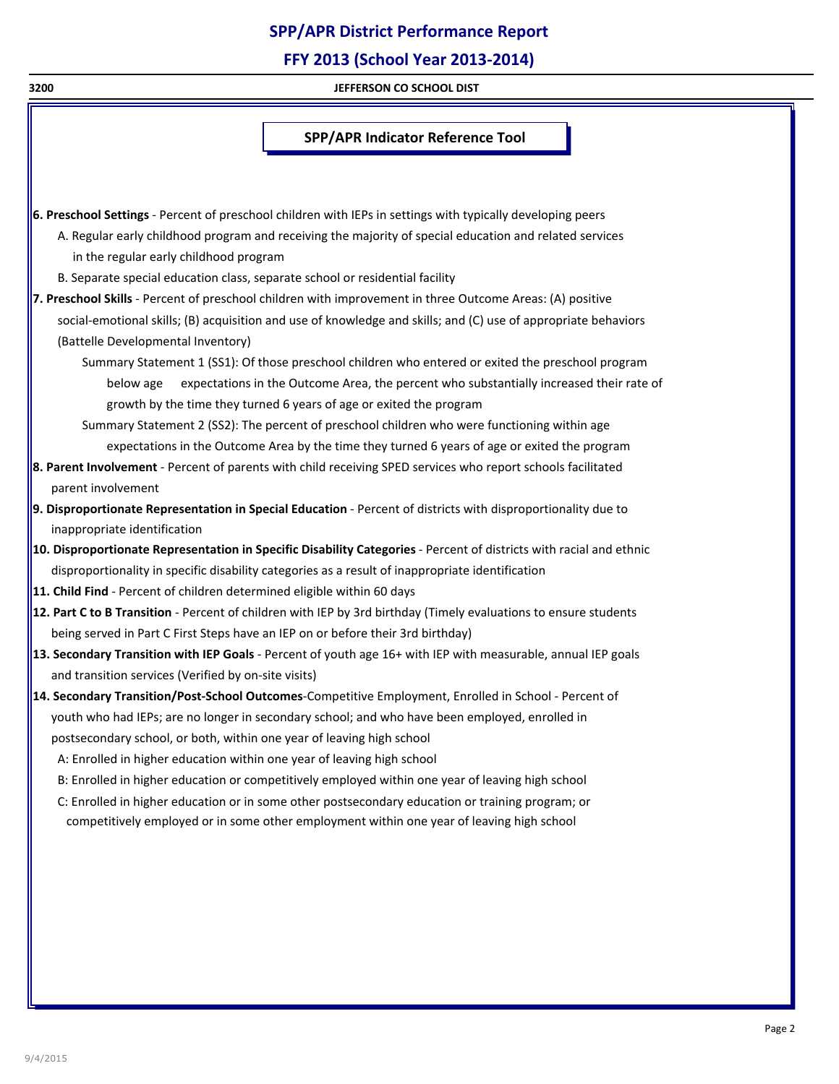# **SPP/APR District Performance Report**

**FFY 2013 (School Year 2013-2014)**